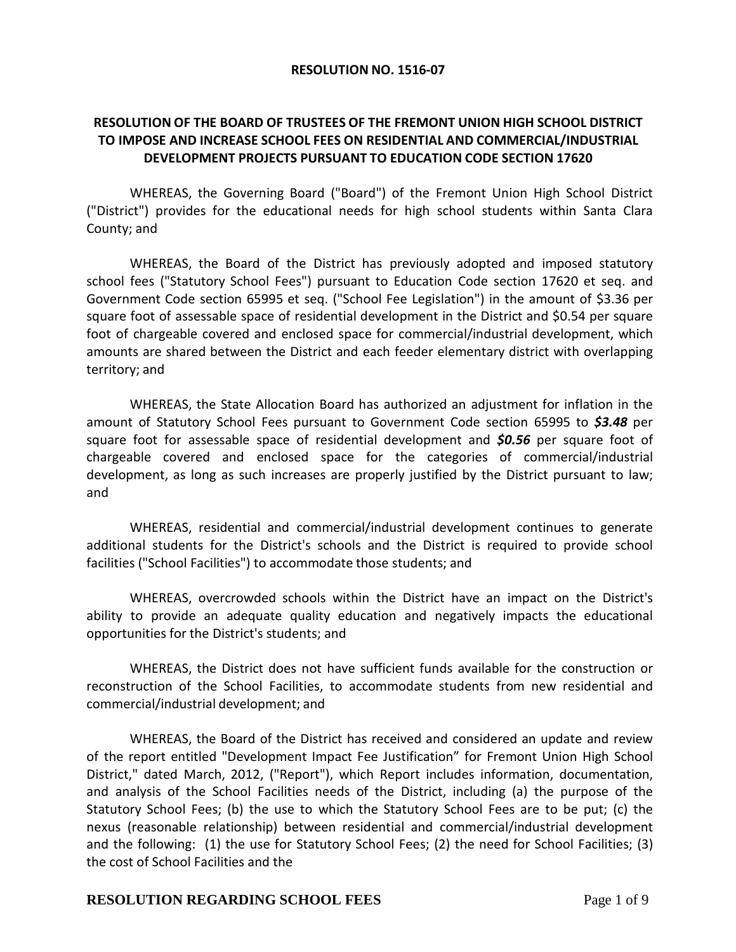#### **RESOLUTION NO. 1516-07**

# **RESOLUTION OF THE BOARD OF TRUSTEES OF THE FREMONT UNION HIGH SCHOOL DISTRICT TO IMPOSE AND INCREASE SCHOOL FEES ON RESIDENTIAL AND COMMERCIAL/INDUSTRIAL DEVELOPMENT PROJECTS PURSUANT TO EDUCATION CODE SECTION 17620**

WHEREAS, the Governing Board ("Board") of the Fremont Union High School District ("District") provides for the educational needs for high school students within Santa Clara County; and

WHEREAS, the Board of the District has previously adopted and imposed statutory school fees ("Statutory School Fees") pursuant to Education Code section 17620 et seq. and Government Code section 65995 et seq. ("School Fee Legislation") in the amount of \$3.36 per square foot of assessable space of residential development in the District and \$0.54 per square foot of chargeable covered and enclosed space for commercial/industrial development, which amounts are shared between the District and each feeder elementary district with overlapping territory; and

WHEREAS, the State Allocation Board has authorized an adjustment for inflation in the amount of Statutory School Fees pursuant to Government Code section 65995 to *\$3.48* per square foot for assessable space of residential development and *\$0.56* per square foot of chargeable covered and enclosed space for the categories of commercial/industrial development, as long as such increases are properly justified by the District pursuant to law; and

WHEREAS, residential and commercial/industrial development continues to generate additional students for the District's schools and the District is required to provide school facilities ("School Facilities") to accommodate those students; and

WHEREAS, overcrowded schools within the District have an impact on the District's ability to provide an adequate quality education and negatively impacts the educational opportunities for the District's students; and

WHEREAS, the District does not have sufficient funds available for the construction or reconstruction of the School Facilities, to accommodate students from new residential and commercial/industrial development; and

WHEREAS, the Board of the District has received and considered an update and review of the report entitled "Development Impact Fee Justification" for Fremont Union High School District," dated March, 2012, ("Report"), which Report includes information, documentation, and analysis of the School Facilities needs of the District, including (a) the purpose of the Statutory School Fees; (b) the use to which the Statutory School Fees are to be put; (c) the nexus (reasonable relationship) between residential and commercial/industrial development and the following: (1) the use for Statutory School Fees; (2) the need for School Facilities; (3) the cost of School Facilities and the

## **RESOLUTION REGARDING SCHOOL FEES** Page 1 of 9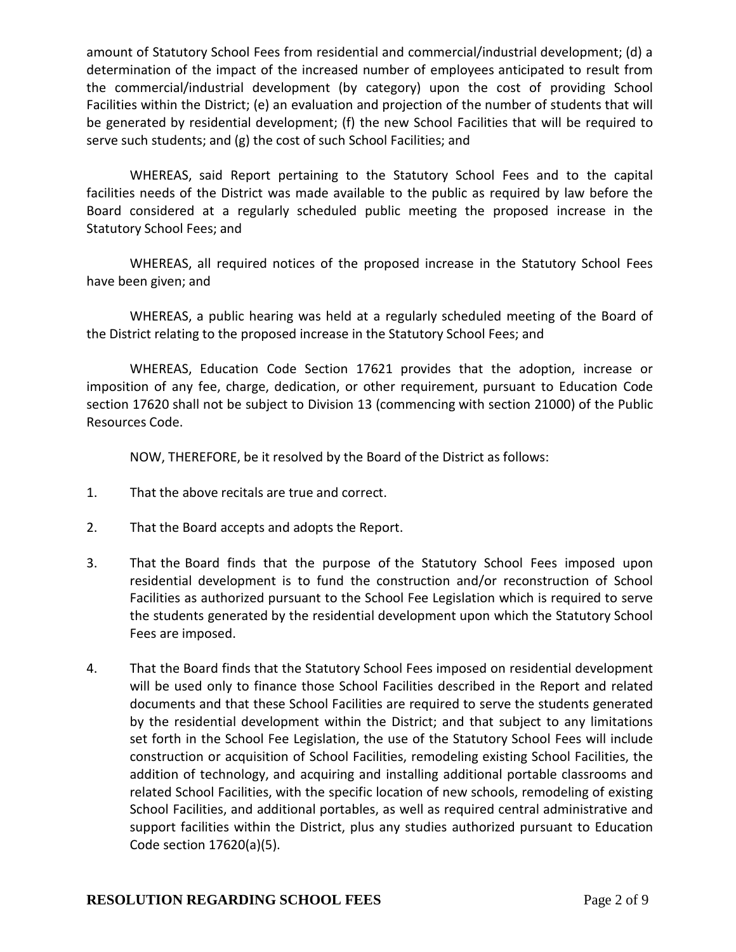amount of Statutory School Fees from residential and commercial/industrial development; (d) a determination of the impact of the increased number of employees anticipated to result from the commercial/industrial development (by category) upon the cost of providing School Facilities within the District; (e) an evaluation and projection of the number of students that will be generated by residential development; (f) the new School Facilities that will be required to serve such students; and (g) the cost of such School Facilities; and

WHEREAS, said Report pertaining to the Statutory School Fees and to the capital facilities needs of the District was made available to the public as required by law before the Board considered at a regularly scheduled public meeting the proposed increase in the Statutory School Fees; and

WHEREAS, all required notices of the proposed increase in the Statutory School Fees have been given; and

WHEREAS, a public hearing was held at a regularly scheduled meeting of the Board of the District relating to the proposed increase in the Statutory School Fees; and

WHEREAS, Education Code Section 17621 provides that the adoption, increase or imposition of any fee, charge, dedication, or other requirement, pursuant to Education Code section 17620 shall not be subject to Division 13 (commencing with section 21000) of the Public Resources Code.

NOW, THEREFORE, be it resolved by the Board of the District as follows:

- 1. That the above recitals are true and correct.
- 2. That the Board accepts and adopts the Report.
- 3. That the Board finds that the purpose of the Statutory School Fees imposed upon residential development is to fund the construction and/or reconstruction of School Facilities as authorized pursuant to the School Fee Legislation which is required to serve the students generated by the residential development upon which the Statutory School Fees are imposed.
- 4. That the Board finds that the Statutory School Fees imposed on residential development will be used only to finance those School Facilities described in the Report and related documents and that these School Facilities are required to serve the students generated by the residential development within the District; and that subject to any limitations set forth in the School Fee Legislation, the use of the Statutory School Fees will include construction or acquisition of School Facilities, remodeling existing School Facilities, the addition of technology, and acquiring and installing additional portable classrooms and related School Facilities, with the specific location of new schools, remodeling of existing School Facilities, and additional portables, as well as required central administrative and support facilities within the District, plus any studies authorized pursuant to Education Code section 17620(a)(5).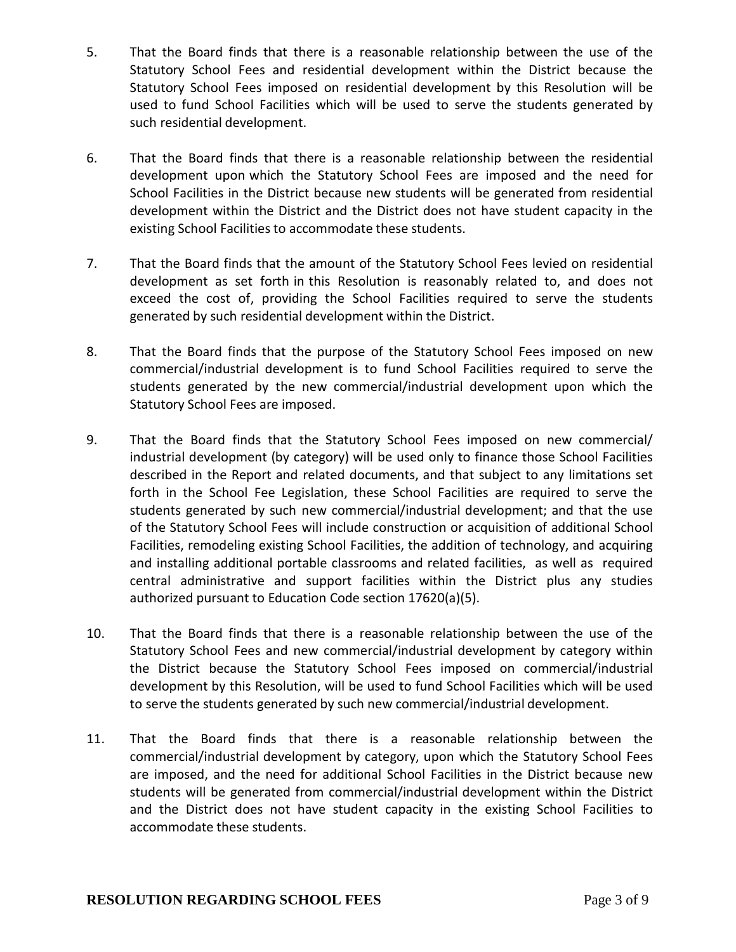- 5. That the Board finds that there is a reasonable relationship between the use of the Statutory School Fees and residential development within the District because the Statutory School Fees imposed on residential development by this Resolution will be used to fund School Facilities which will be used to serve the students generated by such residential development.
- 6. That the Board finds that there is a reasonable relationship between the residential development upon which the Statutory School Fees are imposed and the need for School Facilities in the District because new students will be generated from residential development within the District and the District does not have student capacity in the existing School Facilities to accommodate these students.
- 7. That the Board finds that the amount of the Statutory School Fees levied on residential development as set forth in this Resolution is reasonably related to, and does not exceed the cost of, providing the School Facilities required to serve the students generated by such residential development within the District.
- 8. That the Board finds that the purpose of the Statutory School Fees imposed on new commercial/industrial development is to fund School Facilities required to serve the students generated by the new commercial/industrial development upon which the Statutory School Fees are imposed.
- 9. That the Board finds that the Statutory School Fees imposed on new commercial/ industrial development (by category) will be used only to finance those School Facilities described in the Report and related documents, and that subject to any limitations set forth in the School Fee Legislation, these School Facilities are required to serve the students generated by such new commercial/industrial development; and that the use of the Statutory School Fees will include construction or acquisition of additional School Facilities, remodeling existing School Facilities, the addition of technology, and acquiring and installing additional portable classrooms and related facilities, as well as required central administrative and support facilities within the District plus any studies authorized pursuant to Education Code section 17620(a)(5).
- 10. That the Board finds that there is a reasonable relationship between the use of the Statutory School Fees and new commercial/industrial development by category within the District because the Statutory School Fees imposed on commercial/industrial development by this Resolution, will be used to fund School Facilities which will be used to serve the students generated by such new commercial/industrial development.
- 11. That the Board finds that there is a reasonable relationship between the commercial/industrial development by category, upon which the Statutory School Fees are imposed, and the need for additional School Facilities in the District because new students will be generated from commercial/industrial development within the District and the District does not have student capacity in the existing School Facilities to accommodate these students.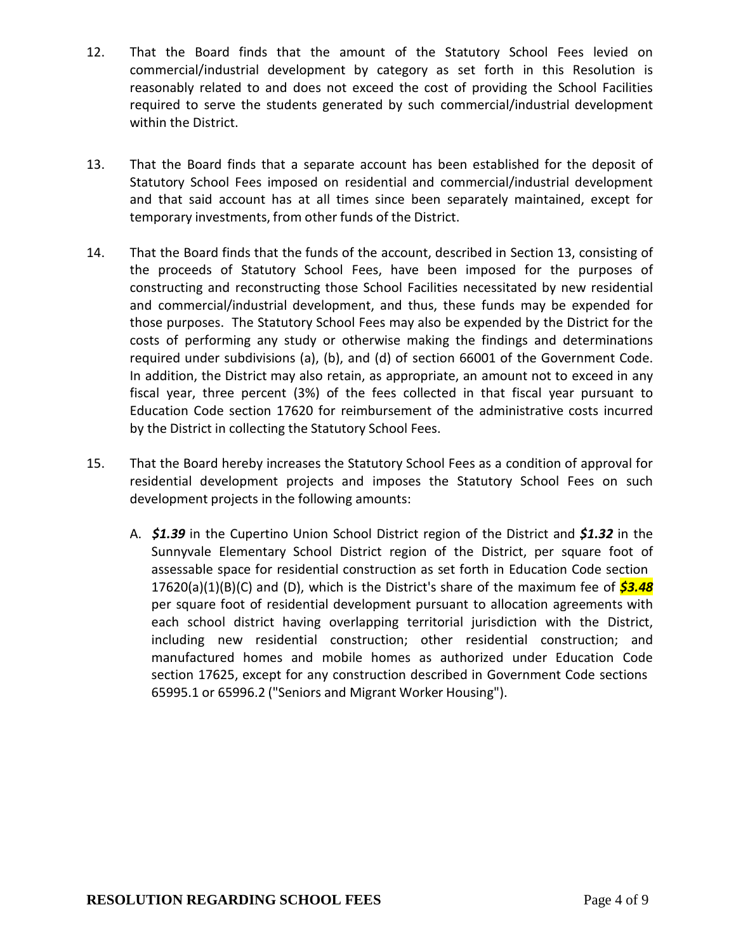- 12. That the Board finds that the amount of the Statutory School Fees levied on commercial/industrial development by category as set forth in this Resolution is reasonably related to and does not exceed the cost of providing the School Facilities required to serve the students generated by such commercial/industrial development within the District.
- 13. That the Board finds that a separate account has been established for the deposit of Statutory School Fees imposed on residential and commercial/industrial development and that said account has at all times since been separately maintained, except for temporary investments, from other funds of the District.
- 14. That the Board finds that the funds of the account, described in Section 13, consisting of the proceeds of Statutory School Fees, have been imposed for the purposes of constructing and reconstructing those School Facilities necessitated by new residential and commercial/industrial development, and thus, these funds may be expended for those purposes. The Statutory School Fees may also be expended by the District for the costs of performing any study or otherwise making the findings and determinations required under subdivisions (a), (b), and (d) of section 66001 of the Government Code. In addition, the District may also retain, as appropriate, an amount not to exceed in any fiscal year, three percent (3%) of the fees collected in that fiscal year pursuant to Education Code section 17620 for reimbursement of the administrative costs incurred by the District in collecting the Statutory School Fees.
- 15. That the Board hereby increases the Statutory School Fees as a condition of approval for residential development projects and imposes the Statutory School Fees on such development projects in the following amounts:
	- A. *\$1.39* in the Cupertino Union School District region of the District and *\$1.32* in the Sunnyvale Elementary School District region of the District, per square foot of assessable space for residential construction as set forth in Education Code section 17620(a)(1)(B)(C) and (D), which is the District's share of the maximum fee of *\$3.48* per square foot of residential development pursuant to allocation agreements with each school district having overlapping territorial jurisdiction with the District, including new residential construction; other residential construction; and manufactured homes and mobile homes as authorized under Education Code section 17625, except for any construction described in Government Code sections 65995.1 or 65996.2 ("Seniors and Migrant Worker Housing").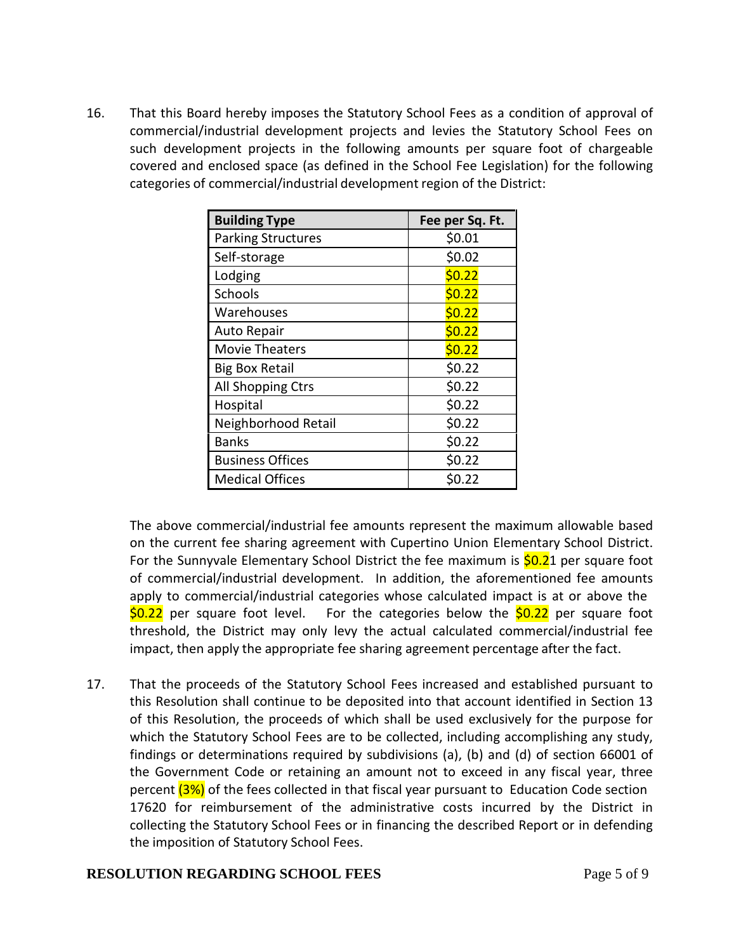16. That this Board hereby imposes the Statutory School Fees as a condition of approval of commercial/industrial development projects and levies the Statutory School Fees on such development projects in the following amounts per square foot of chargeable covered and enclosed space (as defined in the School Fee Legislation) for the following categories of commercial/industrial development region of the District:

| <b>Building Type</b>      | Fee per Sq. Ft. |
|---------------------------|-----------------|
| <b>Parking Structures</b> | \$0.01          |
| Self-storage              | \$0.02          |
| Lodging                   | \$0.22          |
| Schools                   | \$0.22          |
| Warehouses                | \$0.22          |
| <b>Auto Repair</b>        | \$0.22          |
| <b>Movie Theaters</b>     | \$0.22          |
| <b>Big Box Retail</b>     | \$0.22          |
| All Shopping Ctrs         | \$0.22          |
| Hospital                  | \$0.22          |
| Neighborhood Retail       | \$0.22          |
| <b>Banks</b>              | \$0.22          |
| <b>Business Offices</b>   | \$0.22          |
| <b>Medical Offices</b>    | \$0.22          |

The above commercial/industrial fee amounts represent the maximum allowable based on the current fee sharing agreement with Cupertino Union Elementary School District. For the Sunnyvale Elementary School District the fee maximum is **\$0.21** per square foot of commercial/industrial development. In addition, the aforementioned fee amounts apply to commercial/industrial categories whose calculated impact is at or above the \$0.22 per square foot level. For the categories below the \$0.22 per square foot threshold, the District may only levy the actual calculated commercial/industrial fee impact, then apply the appropriate fee sharing agreement percentage after the fact.

17. That the proceeds of the Statutory School Fees increased and established pursuant to this Resolution shall continue to be deposited into that account identified in Section 13 of this Resolution, the proceeds of which shall be used exclusively for the purpose for which the Statutory School Fees are to be collected, including accomplishing any study, findings or determinations required by subdivisions (a), (b) and (d) of section 66001 of the Government Code or retaining an amount not to exceed in any fiscal year, three percent (3%) of the fees collected in that fiscal year pursuant to Education Code section 17620 for reimbursement of the administrative costs incurred by the District in collecting the Statutory School Fees or in financing the described Report or in defending the imposition of Statutory School Fees.

### **RESOLUTION REGARDING SCHOOL FEES** Page 5 of 9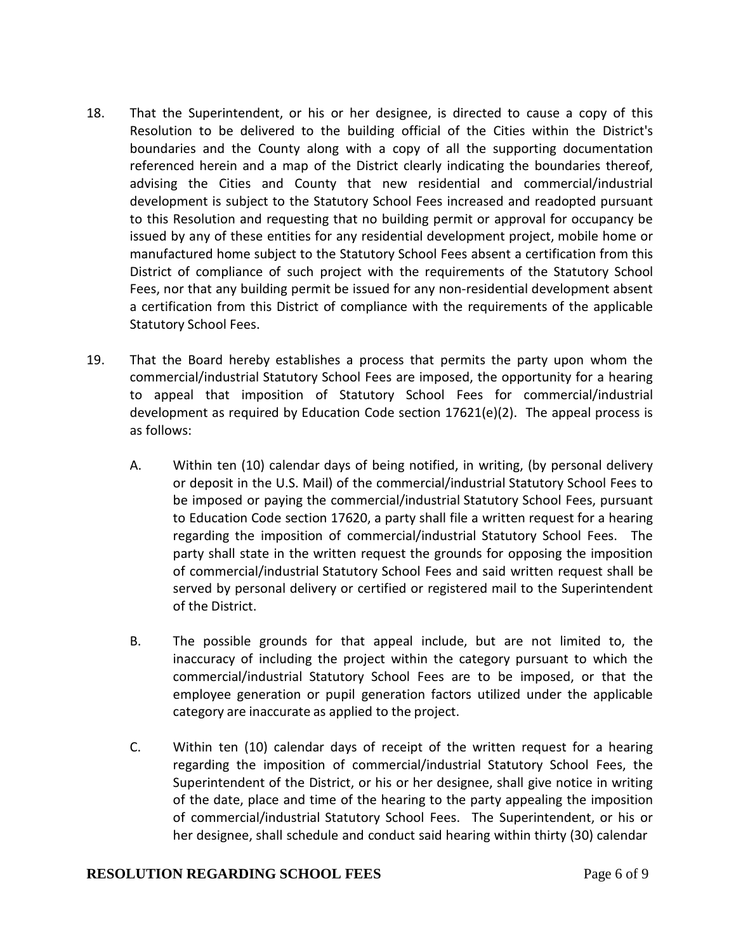- 18. That the Superintendent, or his or her designee, is directed to cause a copy of this Resolution to be delivered to the building official of the Cities within the District's boundaries and the County along with a copy of all the supporting documentation referenced herein and a map of the District clearly indicating the boundaries thereof, advising the Cities and County that new residential and commercial/industrial development is subject to the Statutory School Fees increased and readopted pursuant to this Resolution and requesting that no building permit or approval for occupancy be issued by any of these entities for any residential development project, mobile home or manufactured home subject to the Statutory School Fees absent a certification from this District of compliance of such project with the requirements of the Statutory School Fees, nor that any building permit be issued for any non-residential development absent a certification from this District of compliance with the requirements of the applicable Statutory School Fees.
- 19. That the Board hereby establishes a process that permits the party upon whom the commercial/industrial Statutory School Fees are imposed, the opportunity for a hearing to appeal that imposition of Statutory School Fees for commercial/industrial development as required by Education Code section  $17621(e)(2)$ . The appeal process is as follows:
	- A. Within ten (10) calendar days of being notified, in writing, (by personal delivery or deposit in the U.S. Mail) of the commercial/industrial Statutory School Fees to be imposed or paying the commercial/industrial Statutory School Fees, pursuant to Education Code section 17620, a party shall file a written request for a hearing regarding the imposition of commercial/industrial Statutory School Fees. The party shall state in the written request the grounds for opposing the imposition of commercial/industrial Statutory School Fees and said written request shall be served by personal delivery or certified or registered mail to the Superintendent of the District.
	- B. The possible grounds for that appeal include, but are not limited to, the inaccuracy of including the project within the category pursuant to which the commercial/industrial Statutory School Fees are to be imposed, or that the employee generation or pupil generation factors utilized under the applicable category are inaccurate as applied to the project.
	- C. Within ten (10) calendar days of receipt of the written request for a hearing regarding the imposition of commercial/industrial Statutory School Fees, the Superintendent of the District, or his or her designee, shall give notice in writing of the date, place and time of the hearing to the party appealing the imposition of commercial/industrial Statutory School Fees. The Superintendent, or his or her designee, shall schedule and conduct said hearing within thirty (30) calendar

### **RESOLUTION REGARDING SCHOOL FEES** Page 6 of 9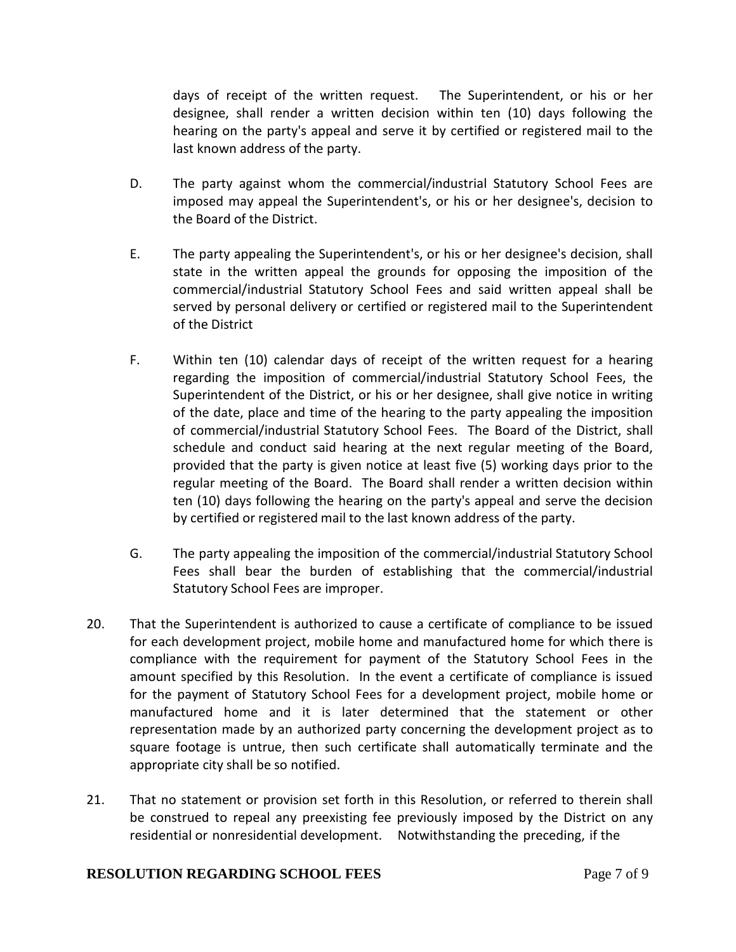days of receipt of the written request. The Superintendent, or his or her designee, shall render a written decision within ten (10) days following the hearing on the party's appeal and serve it by certified or registered mail to the last known address of the party.

- D. The party against whom the commercial/industrial Statutory School Fees are imposed may appeal the Superintendent's, or his or her designee's, decision to the Board of the District.
- E. The party appealing the Superintendent's, or his or her designee's decision, shall state in the written appeal the grounds for opposing the imposition of the commercial/industrial Statutory School Fees and said written appeal shall be served by personal delivery or certified or registered mail to the Superintendent of the District
- F. Within ten (10) calendar days of receipt of the written request for a hearing regarding the imposition of commercial/industrial Statutory School Fees, the Superintendent of the District, or his or her designee, shall give notice in writing of the date, place and time of the hearing to the party appealing the imposition of commercial/industrial Statutory School Fees. The Board of the District, shall schedule and conduct said hearing at the next regular meeting of the Board, provided that the party is given notice at least five (5) working days prior to the regular meeting of the Board. The Board shall render a written decision within ten (10) days following the hearing on the party's appeal and serve the decision by certified or registered mail to the last known address of the party.
- G. The party appealing the imposition of the commercial/industrial Statutory School Fees shall bear the burden of establishing that the commercial/industrial Statutory School Fees are improper.
- 20. That the Superintendent is authorized to cause a certificate of compliance to be issued for each development project, mobile home and manufactured home for which there is compliance with the requirement for payment of the Statutory School Fees in the amount specified by this Resolution. In the event a certificate of compliance is issued for the payment of Statutory School Fees for a development project, mobile home or manufactured home and it is later determined that the statement or other representation made by an authorized party concerning the development project as to square footage is untrue, then such certificate shall automatically terminate and the appropriate city shall be so notified.
- 21. That no statement or provision set forth in this Resolution, or referred to therein shall be construed to repeal any preexisting fee previously imposed by the District on any residential or nonresidential development. Notwithstanding the preceding, if the

### **RESOLUTION REGARDING SCHOOL FEES** Page 7 of 9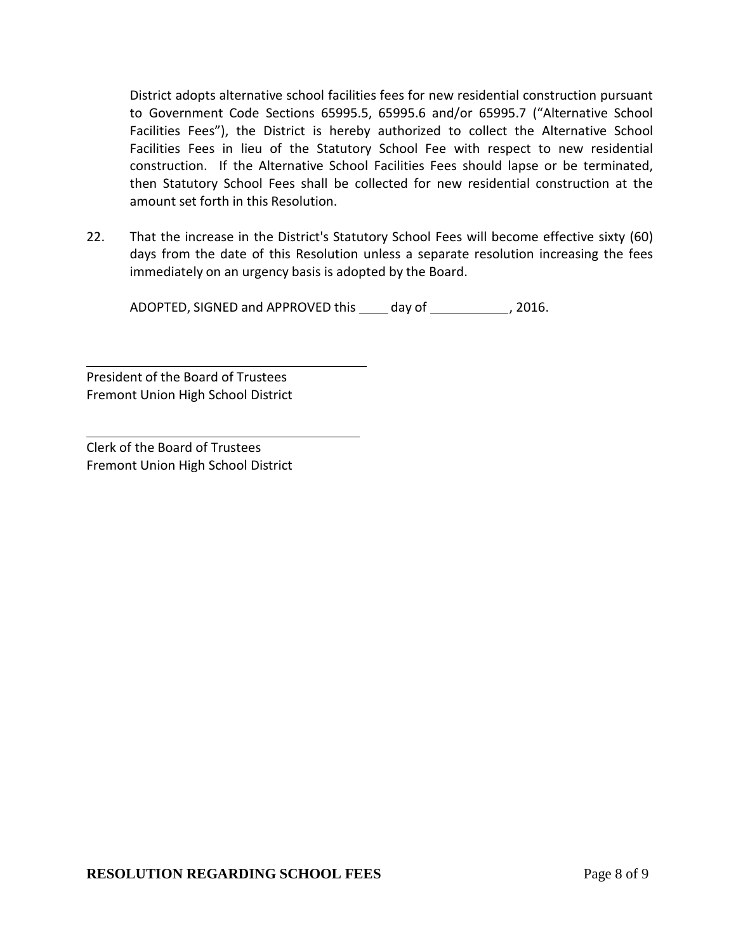District adopts alternative school facilities fees for new residential construction pursuant to Government Code Sections 65995.5, 65995.6 and/or 65995.7 ("Alternative School Facilities Fees"), the District is hereby authorized to collect the Alternative School Facilities Fees in lieu of the Statutory School Fee with respect to new residential construction. If the Alternative School Facilities Fees should lapse or be terminated, then Statutory School Fees shall be collected for new residential construction at the amount set forth in this Resolution.

22. That the increase in the District's Statutory School Fees will become effective sixty (60) days from the date of this Resolution unless a separate resolution increasing the fees immediately on an urgency basis is adopted by the Board.

ADOPTED, SIGNED and APPROVED this \_\_\_\_ day of \_\_\_\_\_\_\_\_\_\_\_\_, 2016.

President of the Board of Trustees Fremont Union High School District

Clerk of the Board of Trustees Fremont Union High School District